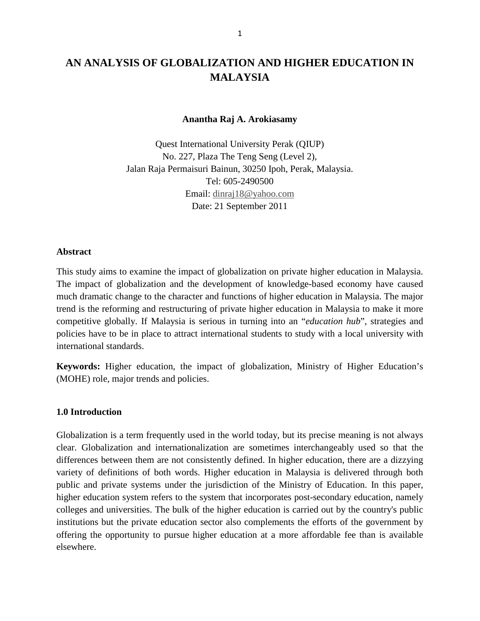# **AN ANALYSIS OF GLOBALIZATION AND HIGHER EDUCATION IN MALAYSIA**

**Anantha Raj A. Arokiasamy**

Quest International University Perak (QIUP) No. 227, Plaza The Teng Seng (Level 2), Jalan Raja Permaisuri Bainun, 30250 Ipoh, Perak, Malaysia. Tel: 605-2490500 Email: [dinraj18@yahoo.com](mailto:dinraj18@yahoo.com) Date: 21 September 2011

### **Abstract**

This study aims to examine the impact of globalization on private higher education in Malaysia. The impact of globalization and the development of knowledge-based economy have caused much dramatic change to the character and functions of higher education in Malaysia. The major trend is the reforming and restructuring of private higher education in Malaysia to make it more competitive globally. If Malaysia is serious in turning into an "*education hub*", strategies and policies have to be in place to attract international students to study with a local university with international standards.

**Keywords:** Higher education, the impact of globalization, Ministry of Higher Education's (MOHE) role, major trends and policies.

### **1.0 Introduction**

Globalization is a term frequently used in the world today, but its precise meaning is not always clear. Globalization and internationalization are sometimes interchangeably used so that the differences between them are not consistently defined. In higher education, there are a dizzying variety of definitions of both words. Higher education in Malaysia is delivered through both public and private systems under the jurisdiction of the Ministry of Education. In this paper, higher education system refers to the system that incorporates post-secondary education, namely colleges and universities. The bulk of the higher education is carried out by the country's public institutions but the private education sector also complements the efforts of the government by offering the opportunity to pursue higher education at a more affordable fee than is available elsewhere.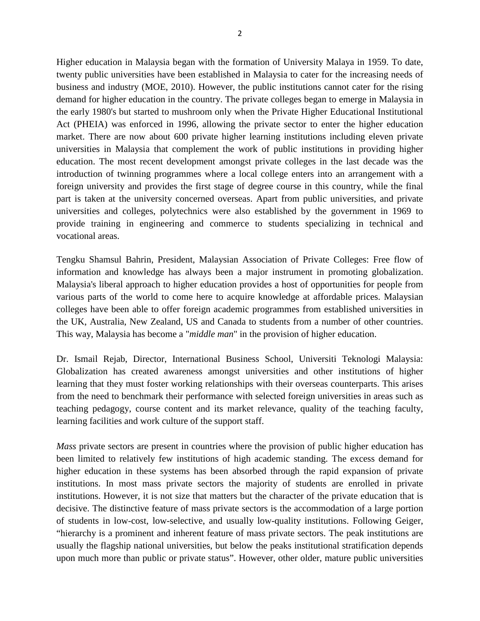Higher education in Malaysia began with the formation of University Malaya in 1959. To date, twenty public universities have been established in Malaysia to cater for the increasing needs of business and industry (MOE, 2010). However, the public institutions cannot cater for the rising demand for higher education in the country. The private colleges began to emerge in Malaysia in the early 1980's but started to mushroom only when the Private Higher Educational Institutional Act (PHEIA) was enforced in 1996, allowing the private sector to enter the higher education market. There are now about 600 private higher learning institutions including eleven private universities in Malaysia that complement the work of public institutions in providing higher education. The most recent development amongst private colleges in the last decade was the introduction of twinning programmes where a local college enters into an arrangement with a foreign university and provides the first stage of degree course in this country, while the final part is taken at the university concerned overseas. Apart from public universities, and private universities and colleges, polytechnics were also established by the government in 1969 to provide training in engineering and commerce to students specializing in technical and vocational areas.

Tengku Shamsul Bahrin, President, Malaysian Association of Private Colleges: Free flow of information and knowledge has always been a major instrument in promoting globalization. Malaysia's liberal approach to higher education provides a host of opportunities for people from various parts of the world to come here to acquire knowledge at affordable prices. Malaysian colleges have been able to offer foreign academic programmes from established universities in the UK, Australia, New Zealand, US and Canada to students from a number of other countries. This way, Malaysia has become a "*middle man*" in the provision of higher education.

Dr. Ismail Rejab, Director, International Business School, Universiti Teknologi Malaysia: Globalization has created awareness amongst universities and other institutions of higher learning that they must foster working relationships with their overseas counterparts. This arises from the need to benchmark their performance with selected foreign universities in areas such as teaching pedagogy, course content and its market relevance, quality of the teaching faculty, learning facilities and work culture of the support staff.

*Mass* private sectors are present in countries where the provision of public higher education has been limited to relatively few institutions of high academic standing. The excess demand for higher education in these systems has been absorbed through the rapid expansion of private institutions. In most mass private sectors the majority of students are enrolled in private institutions. However, it is not size that matters but the character of the private education that is decisive. The distinctive feature of mass private sectors is the accommodation of a large portion of students in low-cost, low-selective, and usually low-quality institutions. Following Geiger, "hierarchy is a prominent and inherent feature of mass private sectors. The peak institutions are usually the flagship national universities, but below the peaks institutional stratification depends upon much more than public or private status". However, other older, mature public universities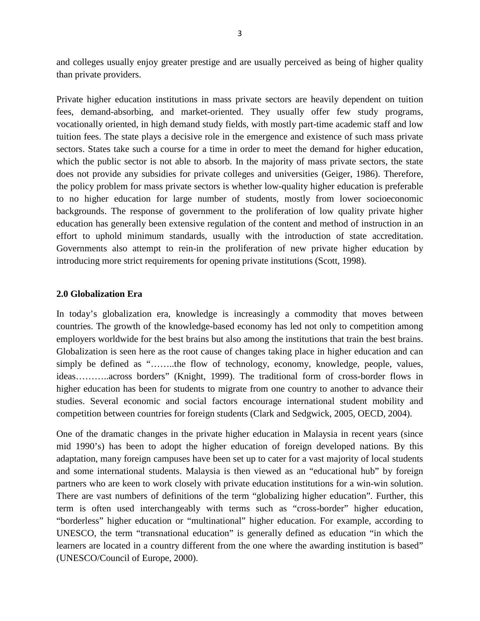and colleges usually enjoy greater prestige and are usually perceived as being of higher quality than private providers.

Private higher education institutions in mass private sectors are heavily dependent on tuition fees, demand-absorbing, and market-oriented. They usually offer few study programs, vocationally oriented, in high demand study fields, with mostly part-time academic staff and low tuition fees. The state plays a decisive role in the emergence and existence of such mass private sectors. States take such a course for a time in order to meet the demand for higher education, which the public sector is not able to absorb. In the majority of mass private sectors, the state does not provide any subsidies for private colleges and universities (Geiger, 1986). Therefore, the policy problem for mass private sectors is whether low-quality higher education is preferable to no higher education for large number of students, mostly from lower socioeconomic backgrounds. The response of government to the proliferation of low quality private higher education has generally been extensive regulation of the content and method of instruction in an effort to uphold minimum standards, usually with the introduction of state accreditation. Governments also attempt to rein-in the proliferation of new private higher education by introducing more strict requirements for opening private institutions (Scott, 1998).

# **2.0 Globalization Era**

In today's globalization era, knowledge is increasingly a commodity that moves between countries. The growth of the knowledge-based economy has led not only to competition among employers worldwide for the best brains but also among the institutions that train the best brains. Globalization is seen here as the root cause of changes taking place in higher education and can simply be defined as "……..the flow of technology, economy, knowledge, people, values, ideas………..across borders" (Knight, 1999). The traditional form of cross-border flows in higher education has been for students to migrate from one country to another to advance their studies. Several economic and social factors encourage international student mobility and competition between countries for foreign students (Clark and Sedgwick, 2005, OECD, 2004).

One of the dramatic changes in the private higher education in Malaysia in recent years (since mid 1990's) has been to adopt the higher education of foreign developed nations. By this adaptation, many foreign campuses have been set up to cater for a vast majority of local students and some international students. Malaysia is then viewed as an "educational hub" by foreign partners who are keen to work closely with private education institutions for a win-win solution. There are vast numbers of definitions of the term "globalizing higher education". Further, this term is often used interchangeably with terms such as "cross-border" higher education, "borderless" higher education or "multinational" higher education. For example, according to UNESCO, the term "transnational education" is generally defined as education "in which the learners are located in a country different from the one where the awarding institution is based" (UNESCO/Council of Europe, 2000).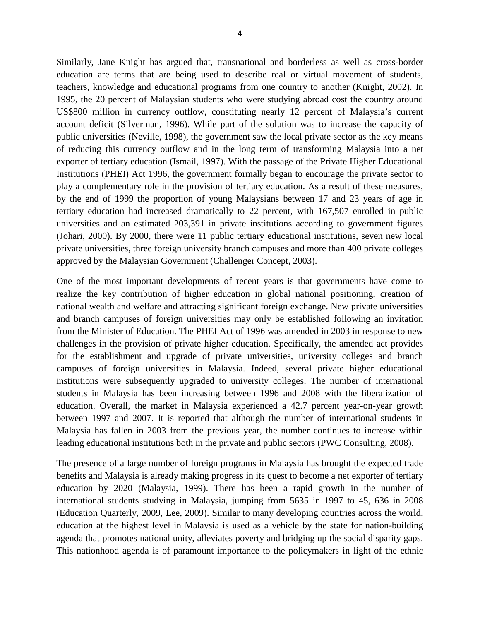Similarly, Jane Knight has argued that, transnational and borderless as well as cross-border education are terms that are being used to describe real or virtual movement of students, teachers, knowledge and educational programs from one country to another (Knight, 2002). In 1995, the 20 percent of Malaysian students who were studying abroad cost the country around US\$800 million in currency outflow, constituting nearly 12 percent of Malaysia's current account deficit (Silverman, 1996). While part of the solution was to increase the capacity of public universities (Neville, 1998), the government saw the local private sector as the key means of reducing this currency outflow and in the long term of transforming Malaysia into a net exporter of tertiary education (Ismail, 1997). With the passage of the Private Higher Educational Institutions (PHEI) Act 1996, the government formally began to encourage the private sector to play a complementary role in the provision of tertiary education. As a result of these measures, by the end of 1999 the proportion of young Malaysians between 17 and 23 years of age in tertiary education had increased dramatically to 22 percent, with 167,507 enrolled in public universities and an estimated 203,391 in private institutions according to government figures (Johari, 2000). By 2000, there were 11 public tertiary educational institutions, seven new local private universities, three foreign university branch campuses and more than 400 private colleges approved by the Malaysian Government (Challenger Concept, 2003).

One of the most important developments of recent years is that governments have come to realize the key contribution of higher education in global national positioning, creation of national wealth and welfare and attracting significant foreign exchange. New private universities and branch campuses of foreign universities may only be established following an invitation from the Minister of Education. The PHEI Act of 1996 was amended in 2003 in response to new challenges in the provision of private higher education. Specifically, the amended act provides for the establishment and upgrade of private universities, university colleges and branch campuses of foreign universities in Malaysia. Indeed, several private higher educational institutions were subsequently upgraded to university colleges. The number of international students in Malaysia has been increasing between 1996 and 2008 with the liberalization of education. Overall, the market in Malaysia experienced a 42.7 percent year-on-year growth between 1997 and 2007. It is reported that although the number of international students in Malaysia has fallen in 2003 from the previous year, the number continues to increase within leading educational institutions both in the private and public sectors (PWC Consulting, 2008).

The presence of a large number of foreign programs in Malaysia has brought the expected trade benefits and Malaysia is already making progress in its quest to become a net exporter of tertiary education by 2020 (Malaysia, 1999). There has been a rapid growth in the number of international students studying in Malaysia, jumping from 5635 in 1997 to 45, 636 in 2008 (Education Quarterly, 2009, Lee, 2009). Similar to many developing countries across the world, education at the highest level in Malaysia is used as a vehicle by the state for nation-building agenda that promotes national unity, alleviates poverty and bridging up the social disparity gaps. This nationhood agenda is of paramount importance to the policymakers in light of the ethnic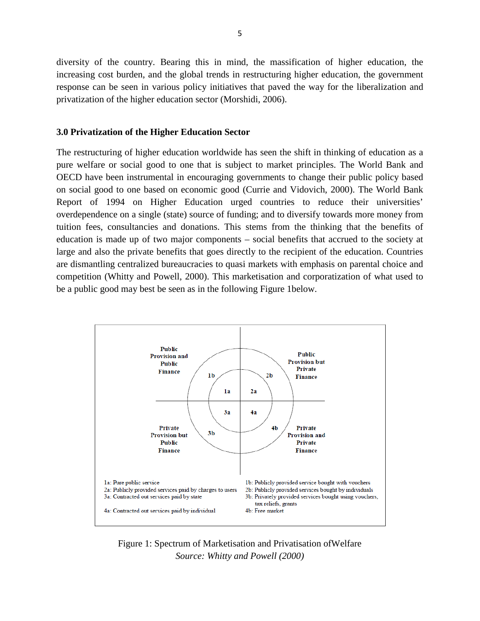diversity of the country. Bearing this in mind, the massification of higher education, the increasing cost burden, and the global trends in restructuring higher education, the government response can be seen in various policy initiatives that paved the way for the liberalization and privatization of the higher education sector (Morshidi, 2006).

## **3.0 Privatization of the Higher Education Sector**

The restructuring of higher education worldwide has seen the shift in thinking of education as a pure welfare or social good to one that is subject to market principles. The World Bank and OECD have been instrumental in encouraging governments to change their public policy based on social good to one based on economic good (Currie and Vidovich, 2000). The World Bank Report of 1994 on Higher Education urged countries to reduce their universities' overdependence on a single (state) source of funding; and to diversify towards more money from tuition fees, consultancies and donations. This stems from the thinking that the benefits of education is made up of two major components – social benefits that accrued to the society at large and also the private benefits that goes directly to the recipient of the education. Countries are dismantling centralized bureaucracies to quasi markets with emphasis on parental choice and competition (Whitty and Powell, 2000). This marketisation and corporatization of what used to be a public good may best be seen as in the following Figure 1below.



Figure 1: Spectrum of Marketisation and Privatisation ofWelfare *Source: Whitty and Powell (2000)*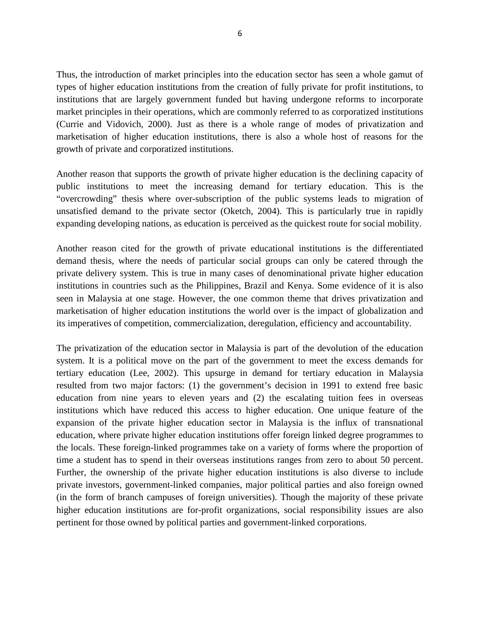Thus, the introduction of market principles into the education sector has seen a whole gamut of types of higher education institutions from the creation of fully private for profit institutions, to institutions that are largely government funded but having undergone reforms to incorporate market principles in their operations, which are commonly referred to as corporatized institutions (Currie and Vidovich, 2000). Just as there is a whole range of modes of privatization and marketisation of higher education institutions, there is also a whole host of reasons for the growth of private and corporatized institutions.

Another reason that supports the growth of private higher education is the declining capacity of public institutions to meet the increasing demand for tertiary education. This is the "overcrowding" thesis where over-subscription of the public systems leads to migration of unsatisfied demand to the private sector (Oketch, 2004). This is particularly true in rapidly expanding developing nations, as education is perceived as the quickest route for social mobility.

Another reason cited for the growth of private educational institutions is the differentiated demand thesis, where the needs of particular social groups can only be catered through the private delivery system. This is true in many cases of denominational private higher education institutions in countries such as the Philippines, Brazil and Kenya. Some evidence of it is also seen in Malaysia at one stage. However, the one common theme that drives privatization and marketisation of higher education institutions the world over is the impact of globalization and its imperatives of competition, commercialization, deregulation, efficiency and accountability.

The privatization of the education sector in Malaysia is part of the devolution of the education system. It is a political move on the part of the government to meet the excess demands for tertiary education (Lee, 2002). This upsurge in demand for tertiary education in Malaysia resulted from two major factors: (1) the government's decision in 1991 to extend free basic education from nine years to eleven years and (2) the escalating tuition fees in overseas institutions which have reduced this access to higher education. One unique feature of the expansion of the private higher education sector in Malaysia is the influx of transnational education, where private higher education institutions offer foreign linked degree programmes to the locals. These foreign-linked programmes take on a variety of forms where the proportion of time a student has to spend in their overseas institutions ranges from zero to about 50 percent. Further, the ownership of the private higher education institutions is also diverse to include private investors, government-linked companies, major political parties and also foreign owned (in the form of branch campuses of foreign universities). Though the majority of these private higher education institutions are for-profit organizations, social responsibility issues are also pertinent for those owned by political parties and government-linked corporations.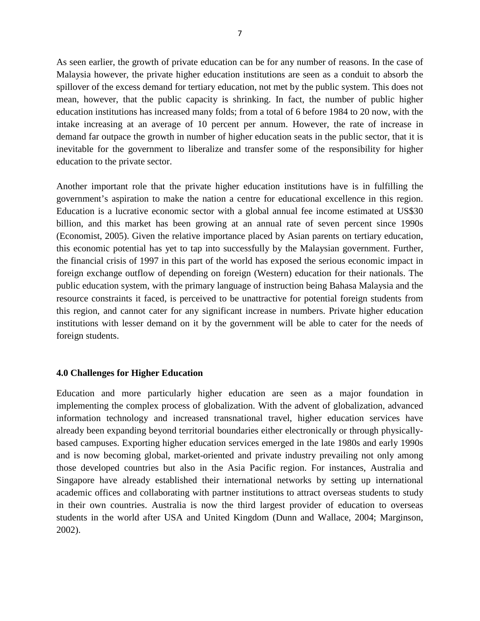As seen earlier, the growth of private education can be for any number of reasons. In the case of Malaysia however, the private higher education institutions are seen as a conduit to absorb the spillover of the excess demand for tertiary education, not met by the public system. This does not mean, however, that the public capacity is shrinking. In fact, the number of public higher education institutions has increased many folds; from a total of 6 before 1984 to 20 now, with the intake increasing at an average of 10 percent per annum. However, the rate of increase in demand far outpace the growth in number of higher education seats in the public sector, that it is inevitable for the government to liberalize and transfer some of the responsibility for higher education to the private sector.

Another important role that the private higher education institutions have is in fulfilling the government's aspiration to make the nation a centre for educational excellence in this region. Education is a lucrative economic sector with a global annual fee income estimated at US\$30 billion, and this market has been growing at an annual rate of seven percent since 1990s (Economist, 2005). Given the relative importance placed by Asian parents on tertiary education, this economic potential has yet to tap into successfully by the Malaysian government. Further, the financial crisis of 1997 in this part of the world has exposed the serious economic impact in foreign exchange outflow of depending on foreign (Western) education for their nationals. The public education system, with the primary language of instruction being Bahasa Malaysia and the resource constraints it faced, is perceived to be unattractive for potential foreign students from this region, and cannot cater for any significant increase in numbers. Private higher education institutions with lesser demand on it by the government will be able to cater for the needs of foreign students.

# **4.0 Challenges for Higher Education**

Education and more particularly higher education are seen as a major foundation in implementing the complex process of globalization. With the advent of globalization, advanced information technology and increased transnational travel, higher education services have already been expanding beyond territorial boundaries either electronically or through physicallybased campuses. Exporting higher education services emerged in the late 1980s and early 1990s and is now becoming global, market-oriented and private industry prevailing not only among those developed countries but also in the Asia Pacific region. For instances, Australia and Singapore have already established their international networks by setting up international academic offices and collaborating with partner institutions to attract overseas students to study in their own countries. Australia is now the third largest provider of education to overseas students in the world after USA and United Kingdom (Dunn and Wallace, 2004; Marginson, 2002).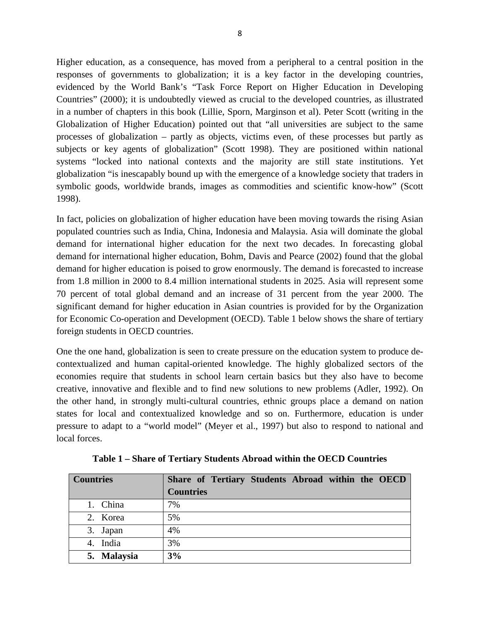Higher education, as a consequence, has moved from a peripheral to a central position in the responses of governments to globalization; it is a key factor in the developing countries, evidenced by the World Bank's "Task Force Report on Higher Education in Developing Countries" (2000); it is undoubtedly viewed as crucial to the developed countries, as illustrated in a number of chapters in this book (Lillie, Sporn, Marginson et al). Peter Scott (writing in the Globalization of Higher Education) pointed out that "all universities are subject to the same processes of globalization – partly as objects, victims even, of these processes but partly as subjects or key agents of globalization" (Scott 1998). They are positioned within national systems "locked into national contexts and the majority are still state institutions. Yet globalization "is inescapably bound up with the emergence of a knowledge society that traders in symbolic goods, worldwide brands, images as commodities and scientific know-how" (Scott 1998).

In fact, policies on globalization of higher education have been moving towards the rising Asian populated countries such as India, China, Indonesia and Malaysia. Asia will dominate the global demand for international higher education for the next two decades. In forecasting global demand for international higher education, Bohm, Davis and Pearce (2002) found that the global demand for higher education is poised to grow enormously. The demand is forecasted to increase from 1.8 million in 2000 to 8.4 million international students in 2025. Asia will represent some 70 percent of total global demand and an increase of 31 percent from the year 2000. The significant demand for higher education in Asian countries is provided for by the Organization for Economic Co-operation and Development (OECD). Table 1 below shows the share of tertiary foreign students in OECD countries.

One the one hand, globalization is seen to create pressure on the education system to produce decontextualized and human capital-oriented knowledge. The highly globalized sectors of the economies require that students in school learn certain basics but they also have to become creative, innovative and flexible and to find new solutions to new problems (Adler, 1992). On the other hand, in strongly multi-cultural countries, ethnic groups place a demand on nation states for local and contextualized knowledge and so on. Furthermore, education is under pressure to adapt to a "world model" (Meyer et al., 1997) but also to respond to national and local forces.

| <b>Countries</b> | Share of Tertiary Students Abroad within the OECD |
|------------------|---------------------------------------------------|
|                  | <b>Countries</b>                                  |
| 1. China         | 7%                                                |
| 2. Korea         | 5%                                                |
| 3. Japan         | 4%                                                |
| 4. India         | 3%                                                |
| 5. Malaysia      | 3%                                                |

**Table 1 – Share of Tertiary Students Abroad within the OECD Countries**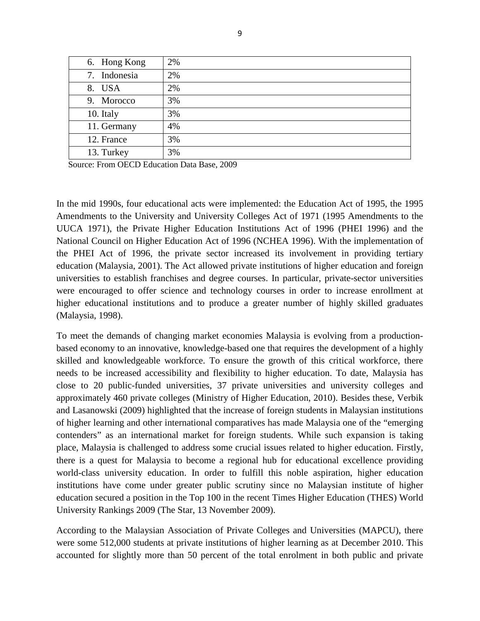| 6. Hong Kong | 2% |
|--------------|----|
| 7. Indonesia | 2% |
| 8. USA       | 2% |
| 9. Morocco   | 3% |
| 10. Italy    | 3% |
| 11. Germany  | 4% |
| 12. France   | 3% |
| 13. Turkey   | 3% |

Source: From OECD Education Data Base, 2009

In the mid 1990s, four educational acts were implemented: the Education Act of 1995, the 1995 Amendments to the University and University Colleges Act of 1971 (1995 Amendments to the UUCA 1971), the Private Higher Education Institutions Act of 1996 (PHEI 1996) and the National Council on Higher Education Act of 1996 (NCHEA 1996). With the implementation of the PHEI Act of 1996, the private sector increased its involvement in providing tertiary education (Malaysia, 2001). The Act allowed private institutions of higher education and foreign universities to establish franchises and degree courses. In particular, private-sector universities were encouraged to offer science and technology courses in order to increase enrollment at higher educational institutions and to produce a greater number of highly skilled graduates (Malaysia, 1998).

To meet the demands of changing market economies Malaysia is evolving from a productionbased economy to an innovative, knowledge-based one that requires the development of a highly skilled and knowledgeable workforce. To ensure the growth of this critical workforce, there needs to be increased accessibility and flexibility to higher education. To date, Malaysia has close to 20 public-funded universities, 37 private universities and university colleges and approximately 460 private colleges (Ministry of Higher Education, 2010). Besides these, Verbik and Lasanowski (2009) highlighted that the increase of foreign students in Malaysian institutions of higher learning and other international comparatives has made Malaysia one of the "emerging contenders" as an international market for foreign students. While such expansion is taking place, Malaysia is challenged to address some crucial issues related to higher education. Firstly, there is a quest for Malaysia to become a regional hub for educational excellence providing world-class university education. In order to fulfill this noble aspiration, higher education institutions have come under greater public scrutiny since no Malaysian institute of higher education secured a position in the Top 100 in the recent Times Higher Education (THES) World University Rankings 2009 (The Star, 13 November 2009).

According to the Malaysian Association of Private Colleges and Universities (MAPCU), there were some 512,000 students at private institutions of higher learning as at December 2010. This accounted for slightly more than 50 percent of the total enrolment in both public and private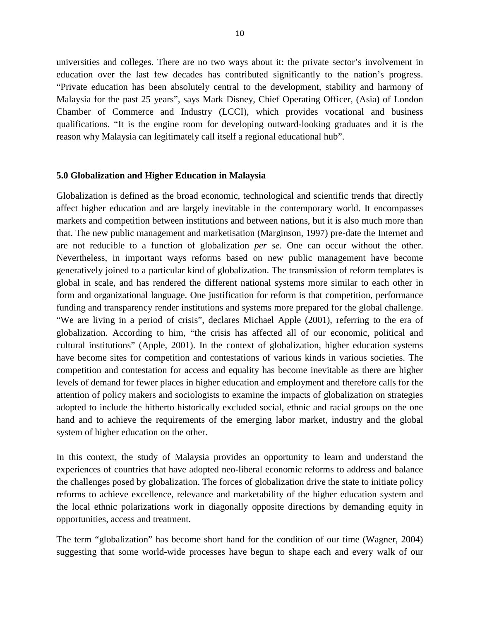universities and colleges. There are no two ways about it: the private sector's involvement in education over the last few decades has contributed significantly to the nation's progress. "Private education has been absolutely central to the development, stability and harmony of Malaysia for the past 25 years", says Mark Disney, Chief Operating Officer, (Asia) of London Chamber of Commerce and Industry (LCCI), which provides vocational and business qualifications. "It is the engine room for developing outward-looking graduates and it is the reason why Malaysia can legitimately call itself a regional educational hub".

#### **5.0 Globalization and Higher Education in Malaysia**

Globalization is defined as the broad economic, technological and scientific trends that directly affect higher education and are largely inevitable in the contemporary world. It encompasses markets and competition between institutions and between nations, but it is also much more than that. The new public management and marketisation (Marginson, 1997) pre-date the Internet and are not reducible to a function of globalization *per se*. One can occur without the other. Nevertheless, in important ways reforms based on new public management have become generatively joined to a particular kind of globalization. The transmission of reform templates is global in scale, and has rendered the different national systems more similar to each other in form and organizational language. One justification for reform is that competition, performance funding and transparency render institutions and systems more prepared for the global challenge. "We are living in a period of crisis", declares Michael Apple (2001), referring to the era of globalization. According to him, "the crisis has affected all of our economic, political and cultural institutions" (Apple, 2001). In the context of globalization, higher education systems have become sites for competition and contestations of various kinds in various societies. The competition and contestation for access and equality has become inevitable as there are higher levels of demand for fewer places in higher education and employment and therefore calls for the attention of policy makers and sociologists to examine the impacts of globalization on strategies adopted to include the hitherto historically excluded social, ethnic and racial groups on the one hand and to achieve the requirements of the emerging labor market, industry and the global system of higher education on the other.

In this context, the study of Malaysia provides an opportunity to learn and understand the experiences of countries that have adopted neo-liberal economic reforms to address and balance the challenges posed by globalization. The forces of globalization drive the state to initiate policy reforms to achieve excellence, relevance and marketability of the higher education system and the local ethnic polarizations work in diagonally opposite directions by demanding equity in opportunities, access and treatment.

The term "globalization" has become short hand for the condition of our time (Wagner, 2004) suggesting that some world-wide processes have begun to shape each and every walk of our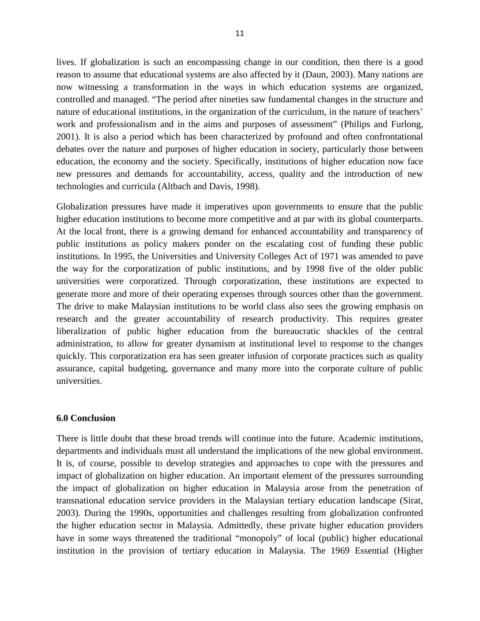lives. If globalization is such an encompassing change in our condition, then there is a good reason to assume that educational systems are also affected by it (Daun, 2003). Many nations are now witnessing a transformation in the ways in which education systems are organized, controlled and managed. "The period after nineties saw fundamental changes in the structure and nature of educational institutions, in the organization of the curriculum, in the nature of teachers' work and professionalism and in the aims and purposes of assessment" (Philips and Furlong, 2001). It is also a period which has been characterized by profound and often confrontational debates over the nature and purposes of higher education in society, particularly those between education, the economy and the society. Specifically, institutions of higher education now face new pressures and demands for accountability, access, quality and the introduction of new technologies and curricula (Altbach and Davis, 1998).

Globalization pressures have made it imperatives upon governments to ensure that the public higher education institutions to become more competitive and at par with its global counterparts. At the local front, there is a growing demand for enhanced accountability and transparency of public institutions as policy makers ponder on the escalating cost of funding these public institutions. In 1995, the Universities and University Colleges Act of 1971 was amended to pave the way for the corporatization of public institutions, and by 1998 five of the older public universities were corporatized. Through corporatization, these institutions are expected to generate more and more of their operating expenses through sources other than the government. The drive to make Malaysian institutions to be world class also sees the growing emphasis on research and the greater accountability of research productivity. This requires greater liberalization of public higher education from the bureaucratic shackles of the central administration, to allow for greater dynamism at institutional level to response to the changes quickly. This corporatization era has seen greater infusion of corporate practices such as quality assurance, capital budgeting, governance and many more into the corporate culture of public universities.

# **6.0 Conclusion**

There is little doubt that these broad trends will continue into the future. Academic institutions, departments and individuals must all understand the implications of the new global environment. It is, of course, possible to develop strategies and approaches to cope with the pressures and impact of globalization on higher education. An important element of the pressures surrounding the impact of globalization on higher education in Malaysia arose from the penetration of transnational education service providers in the Malaysian tertiary education landscape (Sirat, 2003). During the 1990s, opportunities and challenges resulting from globalization confronted the higher education sector in Malaysia. Admittedly, these private higher education providers have in some ways threatened the traditional "monopoly" of local (public) higher educational institution in the provision of tertiary education in Malaysia. The 1969 Essential (Higher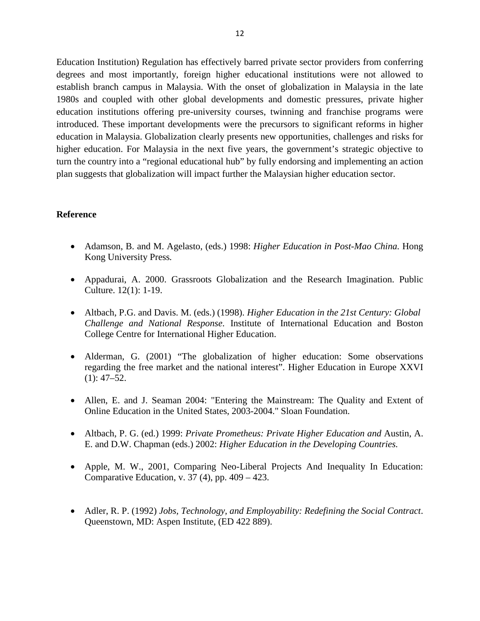Education Institution) Regulation has effectively barred private sector providers from conferring degrees and most importantly, foreign higher educational institutions were not allowed to establish branch campus in Malaysia. With the onset of globalization in Malaysia in the late 1980s and coupled with other global developments and domestic pressures, private higher education institutions offering pre-university courses, twinning and franchise programs were introduced. These important developments were the precursors to significant reforms in higher education in Malaysia. Globalization clearly presents new opportunities, challenges and risks for higher education. For Malaysia in the next five years, the government's strategic objective to turn the country into a "regional educational hub" by fully endorsing and implementing an action plan suggests that globalization will impact further the Malaysian higher education sector.

## **Reference**

- Adamson, B. and M. Agelasto, (eds.) 1998: *Higher Education in Post-Mao China*. Hong Kong University Press*.*
- Appadurai, A. 2000. Grassroots Globalization and the Research Imagination. Public Culture. 12(1): 1-19.
- Altbach, P.G. and Davis. M. (eds.) (1998). *Higher Education in the 21st Century: Global Challenge and National Response*. Institute of International Education and Boston College Centre for International Higher Education.
- Alderman, G. (2001) "The globalization of higher education: Some observations regarding the free market and the national interest". Higher Education in Europe XXVI  $(1): 47 - 52.$
- Allen, E. and J. Seaman 2004: "Entering the Mainstream: The Quality and Extent of Online Education in the United States, 2003-2004." Sloan Foundation.
- Altbach, P. G. (ed.) 1999: *Private Prometheus: Private Higher Education and* Austin, A. E. and D.W. Chapman (eds.) 2002: *Higher Education in the Developing Countries.*
- Apple, M. W., 2001, Comparing Neo-Liberal Projects And Inequality In Education: Comparative Education, v. 37 (4), pp. 409 – 423.
- Adler, R. P. (1992) *Jobs, Technology, and Employability: Redefining the Social Contract*. Queenstown, MD: Aspen Institute, (ED 422 889).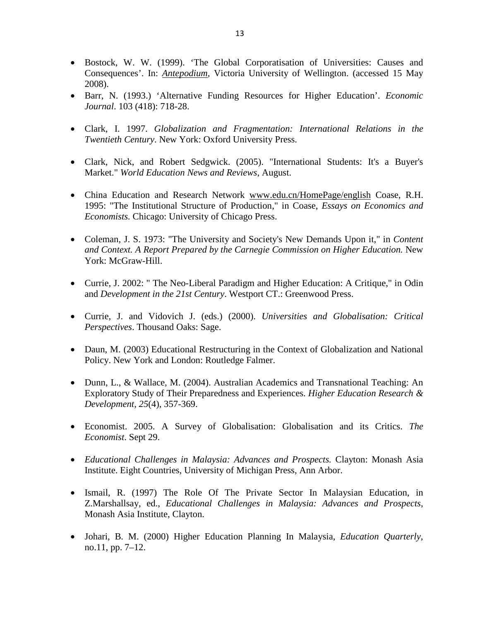- Bostock, W. W. (1999). 'The Global Corporatisation of Universities: Causes and Consequences'. In: *[Antepodium](http://www.victoria.ac.nz/atp/articles/articles-by-author.htm)*, Victoria University of Wellington. (accessed 15 May 2008).
- Barr, N. (1993.) 'Alternative Funding Resources for Higher Education'. *Economic Journal*. 103 (418): 718-28.
- Clark, I. 1997. *Globalization and Fragmentation: International Relations in the Twentieth Century*. New York: Oxford University Press.
- Clark, Nick, and Robert Sedgwick. (2005). "International Students: It's a Buyer's Market." *World Education News and Reviews*, August.
- China Education and Research Network [www.edu.cn/HomePage/english](http://www.edu.cn/HomePage/english) Coase, R.H. 1995: "The Institutional Structure of Production," in Coase, *Essays on Economics and Economists.* Chicago: University of Chicago Press.
- Coleman, J. S. 1973: "The University and Society's New Demands Upon it," in *Content and Context. A Report Prepared by the Carnegie Commission on Higher Education.* New York: McGraw-Hill.
- Currie, J. 2002: " The Neo-Liberal Paradigm and Higher Education: A Critique," in Odin and *Development in the 21st Century*. Westport CT.: Greenwood Press.
- Currie, J. and Vidovich J. (eds.) (2000). *Universities and Globalisation: Critical Perspectives*. Thousand Oaks: Sage.
- Daun, M. (2003) Educational Restructuring in the Context of Globalization and National Policy. New York and London: Routledge Falmer.
- Dunn, L., & Wallace, M. (2004). Australian Academics and Transnational Teaching: An Exploratory Study of Their Preparedness and Experiences. *Higher Education Research & Development, 25*(4), 357-369.
- Economist. 2005. A Survey of Globalisation: Globalisation and its Critics. *The Economist*. Sept 29.
- *Educational Challenges in Malaysia: Advances and Prospects.* Clayton: Monash Asia Institute. Eight Countries, University of Michigan Press, Ann Arbor.
- Ismail, R. (1997) The Role Of The Private Sector In Malaysian Education, in Z.Marshallsay, ed., *Educational Challenges in Malaysia: Advances and Prospects*, Monash Asia Institute, Clayton.
- Johari, B. M. (2000) Higher Education Planning In Malaysia, *Education Quarterly*, no.11, pp. 7–12.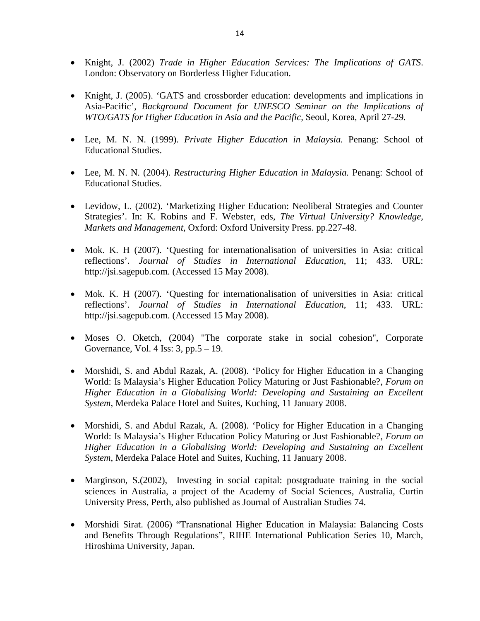- Knight, J. (2002) *Trade in Higher Education Services: The Implications of GATS*. London: Observatory on Borderless Higher Education.
- Knight, J. (2005). 'GATS and crossborder education: developments and implications in Asia-Pacific'*, Background Document for UNESCO Seminar on the Implications of WTO/GATS for Higher Education in Asia and the Pacific,* Seoul, Korea, April 27-29*.*
- Lee, M. N. N. (1999). *Private Higher Education in Malaysia.* Penang: School of Educational Studies.
- Lee, M. N. N. (2004). *Restructuring Higher Education in Malaysia.* Penang: School of Educational Studies.
- Levidow, L. (2002). 'Marketizing Higher Education: Neoliberal Strategies and Counter Strategies'. In: K. Robins and F. Webster, eds, *The Virtual University? Knowledge, Markets and Management*, Oxford: Oxford University Press. pp.227-48.
- Mok. K. H (2007). 'Questing for internationalisation of universities in Asia: critical reflections'. *Journal of Studies in International Education*, 11; 433. URL: http://jsi.sagepub.com. (Accessed 15 May 2008).
- Mok. K. H (2007). 'Questing for internationalisation of universities in Asia: critical reflections'. *Journal of Studies in International Education*, 11; 433. URL: http://jsi.sagepub.com. (Accessed 15 May 2008).
- Moses O. Oketch, (2004) "The corporate stake in social cohesion", Corporate Governance, Vol. 4 Iss: 3, pp.5 – 19.
- Morshidi, S. and Abdul Razak, A. (2008). 'Policy for Higher Education in a Changing World: Is Malaysia's Higher Education Policy Maturing or Just Fashionable?, *Forum on Higher Education in a Globalising World: Developing and Sustaining an Excellent System*, Merdeka Palace Hotel and Suites, Kuching, 11 January 2008.
- Morshidi, S. and Abdul Razak, A. (2008). 'Policy for Higher Education in a Changing World: Is Malaysia's Higher Education Policy Maturing or Just Fashionable?, *Forum on Higher Education in a Globalising World: Developing and Sustaining an Excellent System*, Merdeka Palace Hotel and Suites, Kuching, 11 January 2008.
- Marginson, S.(2002), Investing in social capital: postgraduate training in the social sciences in Australia, a project of the Academy of Social Sciences, Australia, Curtin University Press, Perth, also published as Journal of Australian Studies 74.
- Morshidi Sirat. (2006) "Transnational Higher Education in Malaysia: Balancing Costs and Benefits Through Regulations", RIHE International Publication Series 10, March, Hiroshima University, Japan.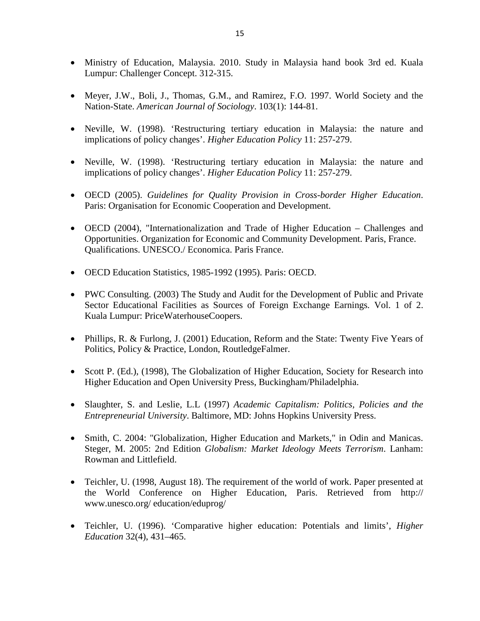- Ministry of Education, Malaysia. 2010. Study in Malaysia hand book 3rd ed. Kuala Lumpur: Challenger Concept. 312-315.
- Meyer, J.W., Boli, J., Thomas, G.M., and Ramirez, F.O. 1997. World Society and the Nation-State. *American Journal of Sociology*. 103(1): 144-81.
- Neville, W. (1998). 'Restructuring tertiary education in Malaysia: the nature and implications of policy changes'. *Higher Education Policy* 11: 257-279.
- Neville, W. (1998). 'Restructuring tertiary education in Malaysia: the nature and implications of policy changes'. *Higher Education Policy* 11: 257-279.
- OECD (2005). *Guidelines for Quality Provision in Cross-border Higher Education*. Paris: Organisation for Economic Cooperation and Development.
- OECD (2004), "Internationalization and Trade of Higher Education Challenges and Opportunities. Organization for Economic and Community Development. Paris, France. Qualifications. UNESCO./ Economica. Paris France.
- OECD Education Statistics, 1985-1992 (1995). Paris: OECD.
- PWC Consulting. (2003) The Study and Audit for the Development of Public and Private Sector Educational Facilities as Sources of Foreign Exchange Earnings*.* Vol. 1 of 2. Kuala Lumpur: PriceWaterhouseCoopers.
- Phillips, R. & Furlong, J. (2001) Education, Reform and the State: Twenty Five Years of Politics, Policy & Practice, London, RoutledgeFalmer.
- Scott P. (Ed.), (1998), The Globalization of Higher Education, Society for Research into Higher Education and Open University Press, Buckingham/Philadelphia.
- Slaughter, S. and Leslie, L.L (1997) *Academic Capitalism: Politics, Policies and the Entrepreneurial University*. Baltimore, MD: Johns Hopkins University Press.
- Smith, C. 2004: "Globalization, Higher Education and Markets," in Odin and Manicas. Steger, M. 2005: 2nd Edition *Globalism: Market Ideology Meets Terrorism*. Lanham: Rowman and Littlefield.
- Teichler, U. (1998, August 18). The requirement of the world of work. Paper presented at the World Conference on Higher Education, Paris. Retrieved from http:// www.unesco.org/ education/eduprog/
- Teichler, U. (1996). 'Comparative higher education: Potentials and limits', *Higher Education* 32(4), 431–465.